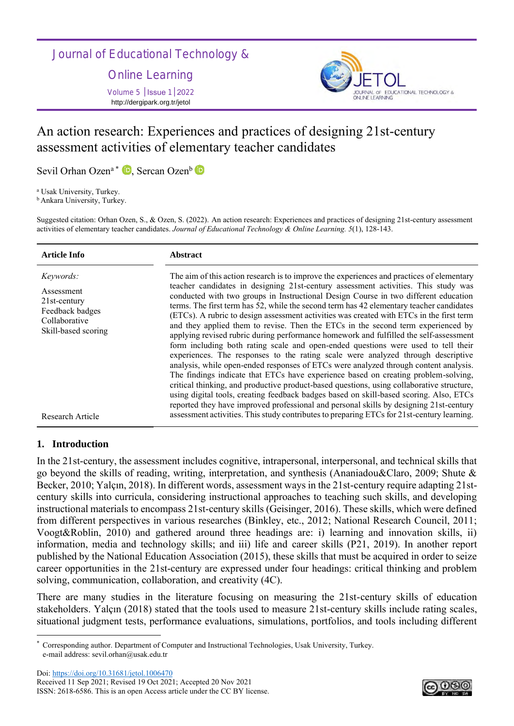Journal of Educational Technology &

Online Learning Volume 5 │Issue 1│2022

http://dergipark.org.tr/jetol



# An action research: Experiences and practices of designing 21st-century assessment activities of elementary teacher candidates

Sevil Orhan Ozen<sup>a \*</sup> <sup>1</sup> D[,](https://orcid.org/0000-0003-1991-4964) Sercan Ozen<sup>b</sup>

<sup>a</sup> Usak University, Turkey.

**b** Ankara University, Turkey.

Suggested citation: Orhan Ozen, S., & Ozen, S. (2022). An action research: Experiences and practices of designing 21st-century assessment activities of elementary teacher candidates. *Journal of Educational Technology & Online Learning. 5*(1), 128-143.

| <b>Article Info</b>                                                                                          | <b>Abstract</b>                                                                                                                                                                                                                                                                                                                                                                                                                                                                                                                                                                                                                                                                                                                                                                                                                                                                                                                                                                                                                                                                                                                                                                                                                                                                     |
|--------------------------------------------------------------------------------------------------------------|-------------------------------------------------------------------------------------------------------------------------------------------------------------------------------------------------------------------------------------------------------------------------------------------------------------------------------------------------------------------------------------------------------------------------------------------------------------------------------------------------------------------------------------------------------------------------------------------------------------------------------------------------------------------------------------------------------------------------------------------------------------------------------------------------------------------------------------------------------------------------------------------------------------------------------------------------------------------------------------------------------------------------------------------------------------------------------------------------------------------------------------------------------------------------------------------------------------------------------------------------------------------------------------|
| <i>Keywords:</i><br>Assessment<br>$21st$ -century<br>Feedback badges<br>Collaborative<br>Skill-based scoring | The aim of this action research is to improve the experiences and practices of elementary<br>teacher candidates in designing 21st-century assessment activities. This study was<br>conducted with two groups in Instructional Design Course in two different education<br>terms. The first term has 52, while the second term has 42 elementary teacher candidates<br>(ETCs). A rubric to design assessment activities was created with ETCs in the first term<br>and they applied them to revise. Then the ETCs in the second term experienced by<br>applying revised rubric during performance homework and fulfilled the self-assessment<br>form including both rating scale and open-ended questions were used to tell their<br>experiences. The responses to the rating scale were analyzed through descriptive<br>analysis, while open-ended responses of ETCs were analyzed through content analysis.<br>The findings indicate that ETCs have experience based on creating problem-solving,<br>critical thinking, and productive product-based questions, using collaborative structure,<br>using digital tools, creating feedback badges based on skill-based scoring. Also, ETCs<br>reported they have improved professional and personal skills by designing 21st-century |
| <b>Research Article</b>                                                                                      | assessment activities. This study contributes to preparing ETCs for 21st-century learning.                                                                                                                                                                                                                                                                                                                                                                                                                                                                                                                                                                                                                                                                                                                                                                                                                                                                                                                                                                                                                                                                                                                                                                                          |

# **1. Introduction**

In the 21st-century, the assessment includes cognitive, intrapersonal, interpersonal, and technical skills that go beyond the skills of reading, writing, interpretation, and synthesis (Ananiadou&Claro, 2009; Shute & Becker, 2010; Yalçın, 2018). In different words, assessment ways in the 21st-century require adapting 21stcentury skills into curricula, considering instructional approaches to teaching such skills, and developing instructional materials to encompass 21st-century skills (Geisinger, 2016). These skills, which were defined from different perspectives in various researches (Binkley, etc., 2012; National Research Council, 2011; Voogt&Roblin, 2010) and gathered around three headings are: i) learning and innovation skills, ii) information, media and technology skills; and iii) life and career skills (P21, 2019). In another report published by the National Education Association (2015), these skills that must be acquired in order to seize career opportunities in the 21st-century are expressed under four headings: critical thinking and problem solving, communication, collaboration, and creativity (4C).

There are many studies in the literature focusing on measuring the 21st-century skills of education stakeholders. Yalçın (2018) stated that the tools used to measure 21st-century skills include rating scales, situational judgment tests, performance evaluations, simulations, portfolios, and tools including different



<sup>\*</sup> Corresponding author. Department of Computer and Instructional Technologies, Usak University, Turkey. e-mail address: sevil.orhan@usak.edu.tr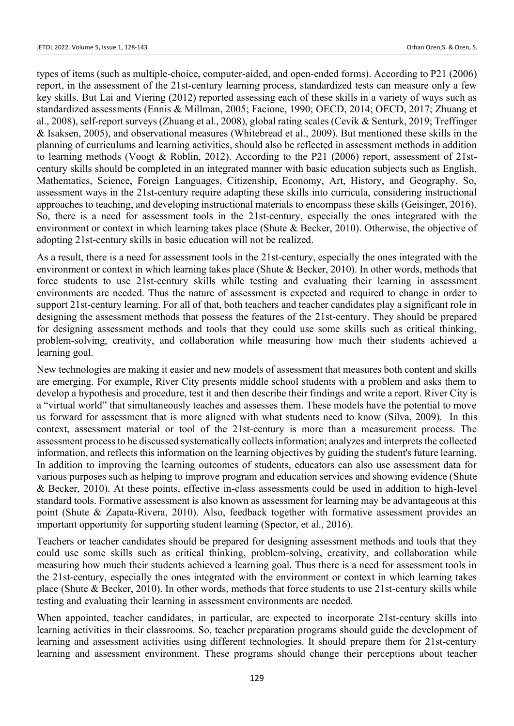types of items (such as multiple-choice, computer-aided, and open-ended forms). According to P21 (2006) report, in the assessment of the 21st-century learning process, standardized tests can measure only a few key skills. But Lai and Viering (2012) reported assessing each of these skills in a variety of ways such as standardized assessments (Ennis & Millman, 2005; Facione, 1990; OECD, 2014; OECD, 2017; Zhuang et al., 2008), self-report surveys (Zhuang et al., 2008), global rating scales (Cevik & Senturk, 2019; Treffinger & Isaksen, 2005), and observational measures (Whitebread et al., 2009). But mentioned these skills in the planning of curriculums and learning activities, should also be reflected in assessment methods in addition to learning methods (Voogt & Roblin, 2012). According to the P21 (2006) report, assessment of 21stcentury skills should be completed in an integrated manner with basic education subjects such as English, Mathematics, Science, Foreign Languages, Citizenship, Economy, Art, History, and Geography. So, assessment ways in the 21st-century require adapting these skills into curricula, considering instructional approaches to teaching, and developing instructional materials to encompass these skills (Geisinger, 2016). So, there is a need for assessment tools in the 21st-century, especially the ones integrated with the environment or context in which learning takes place (Shute & Becker, 2010). Otherwise, the objective of adopting 21st-century skills in basic education will not be realized.

As a result, there is a need for assessment tools in the 21st-century, especially the ones integrated with the environment or context in which learning takes place (Shute & Becker, 2010). In other words, methods that force students to use 21st-century skills while testing and evaluating their learning in assessment environments are needed. Thus the nature of assessment is expected and required to change in order to support 21st-century learning. For all of that, both teachers and teacher candidates play a significant role in designing the assessment methods that possess the features of the 21st-century. They should be prepared for designing assessment methods and tools that they could use some skills such as critical thinking, problem-solving, creativity, and collaboration while measuring how much their students achieved a learning goal.

New technologies are making it easier and new models of assessment that measures both content and skills are emerging. For example, River City presents middle school students with a problem and asks them to develop a hypothesis and procedure, test it and then describe their findings and write a report. River City is a "virtual world" that simultaneously teaches and assesses them. These models have the potential to move us forward for assessment that is more aligned with what students need to know (Silva, 2009). In this context, assessment material or tool of the 21st-century is more than a measurement process. The assessment process to be discussed systematically collects information; analyzes and interprets the collected information, and reflects this information on the learning objectives by guiding the student's future learning. In addition to improving the learning outcomes of students, educators can also use assessment data for various purposes such as helping to improve program and education services and showing evidence (Shute & Becker, 2010). At these points, effective in-class assessments could be used in addition to high-level standard tools. Formative assessment is also known as assessment for learning may be advantageous at this point (Shute & Zapata-Rivera, 2010). Also, feedback together with formative assessment provides an important opportunity for supporting student learning (Spector, et al., 2016).

Teachers or teacher candidates should be prepared for designing assessment methods and tools that they could use some skills such as critical thinking, problem-solving, creativity, and collaboration while measuring how much their students achieved a learning goal. Thus there is a need for assessment tools in the 21st-century, especially the ones integrated with the environment or context in which learning takes place (Shute & Becker, 2010). In other words, methods that force students to use 21st-century skills while testing and evaluating their learning in assessment environments are needed.

When appointed, teacher candidates, in particular, are expected to incorporate 21st-century skills into learning activities in their classrooms. So, teacher preparation programs should guide the development of learning and assessment activities using different technologies. It should prepare them for 21st-century learning and assessment environment. These programs should change their perceptions about teacher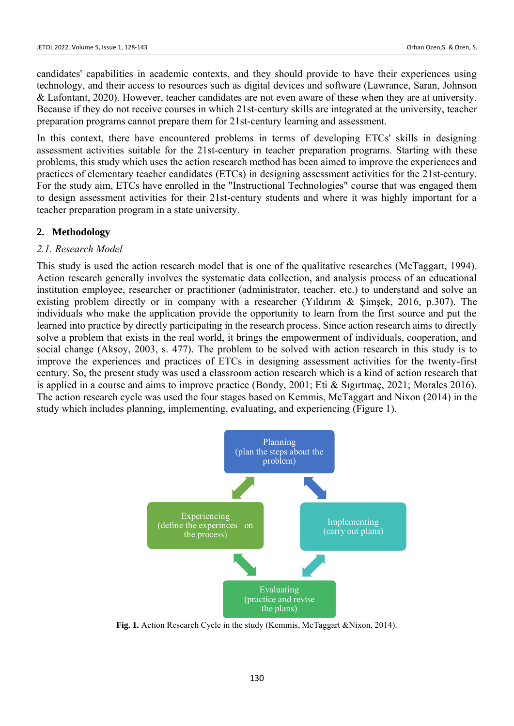candidates' capabilities in academic contexts, and they should provide to have their experiences using technology, and their access to resources such as digital devices and software (Lawrance, Saran, Johnson & Lafontant, 2020). However, teacher candidates are not even aware of these when they are at university. Because if they do not receive courses in which 21st-century skills are integrated at the university, teacher preparation programs cannot prepare them for 21st-century learning and assessment.

In this context, there have encountered problems in terms of developing ETCs' skills in designing assessment activities suitable for the 21st-century in teacher preparation programs. Starting with these problems, this study which uses the action research method has been aimed to improve the experiences and practices of elementary teacher candidates (ETCs) in designing assessment activities for the 21st-century. For the study aim, ETCs have enrolled in the "Instructional Technologies" course that was engaged them to design assessment activities for their 21st-century students and where it was highly important for a teacher preparation program in a state university.

### **2. Methodology**

### *2.1. Research Model*

This study is used the action research model that is one of the qualitative researches (McTaggart, 1994). Action research generally involves the systematic data collection, and analysis process of an educational institution employee, researcher or practitioner (administrator, teacher, etc.) to understand and solve an existing problem directly or in company with a researcher (Yıldırım & Şimşek, 2016, p.307). The individuals who make the application provide the opportunity to learn from the first source and put the learned into practice by directly participating in the research process. Since action research aims to directly solve a problem that exists in the real world, it brings the empowerment of individuals, cooperation, and social change (Aksoy, 2003, s. 477). The problem to be solved with action research in this study is to improve the experiences and practices of ETCs in designing assessment activities for the twenty-first century. So, the present study was used a classroom action research which is a kind of action research that is applied in a course and aims to improve practice (Bondy, 2001; Eti & Sıgırtmaç, 2021; Morales 2016). The action research cycle was used the four stages based on Kemmis, McTaggart and Nixon (2014) in the study which includes planning, implementing, evaluating, and experiencing (Figure 1).



**Fig. 1.** Action Research Cycle in the study (Kemmis, McTaggart &Nixon, 2014).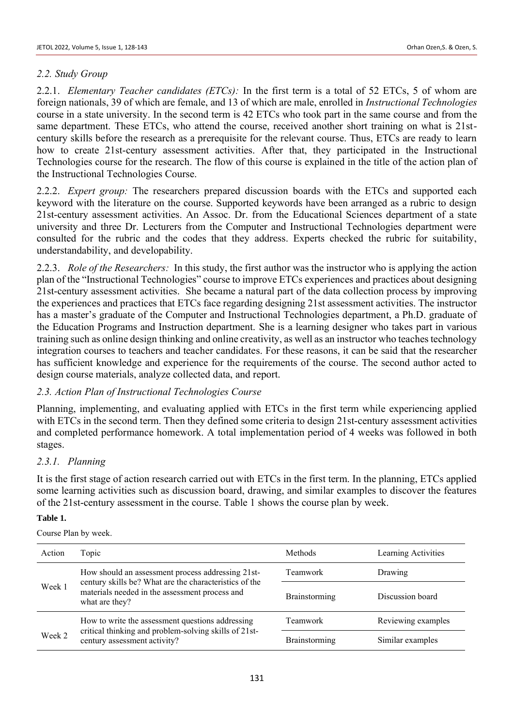### *2.2. Study Group*

2.2.1. *Elementary Teacher candidates (ETCs):* In the first term is a total of 52 ETCs, 5 of whom are foreign nationals, 39 of which are female, and 13 of which are male, enrolled in *Instructional Technologies* course in a state university. In the second term is 42 ETCs who took part in the same course and from the same department. These ETCs, who attend the course, received another short training on what is 21stcentury skills before the research as a prerequisite for the relevant course. Thus, ETCs are ready to learn how to create 21st-century assessment activities. After that, they participated in the Instructional Technologies course for the research. The flow of this course is explained in the title of the action plan of the Instructional Technologies Course.

2.2.2. *Expert group:* The researchers prepared discussion boards with the ETCs and supported each keyword with the literature on the course. Supported keywords have been arranged as a rubric to design 21st-century assessment activities. An Assoc. Dr. from the Educational Sciences department of a state university and three Dr. Lecturers from the Computer and Instructional Technologies department were consulted for the rubric and the codes that they address. Experts checked the rubric for suitability, understandability, and developability.

2.2.3. *Role of the Researchers:* In this study, the first author was the instructor who is applying the action plan of the "Instructional Technologies" course to improve ETCs experiences and practices about designing 21st-century assessment activities. She became a natural part of the data collection process by improving the experiences and practices that ETCs face regarding designing 21st assessment activities. The instructor has a master's graduate of the Computer and Instructional Technologies department, a Ph.D. graduate of the Education Programs and Instruction department. She is a learning designer who takes part in various training such as online design thinking and online creativity, as well as an instructor who teaches technology integration courses to teachers and teacher candidates. For these reasons, it can be said that the researcher has sufficient knowledge and experience for the requirements of the course. The second author acted to design course materials, analyze collected data, and report.

### *2.3. Action Plan of Instructional Technologies Course*

Planning, implementing, and evaluating applied with ETCs in the first term while experiencing applied with ETCs in the second term. Then they defined some criteria to design 21st-century assessment activities and completed performance homework. A total implementation period of 4 weeks was followed in both stages.

### *2.3.1. Planning*

It is the first stage of action research carried out with ETCs in the first term. In the planning, ETCs applied some learning activities such as discussion board, drawing, and similar examples to discover the features of the 21st-century assessment in the course. Table 1 shows the course plan by week.

#### **Table 1.**

Course Plan by week.

| Action | Topic                                                                                                       | <b>Methods</b>       | Learning Activities |
|--------|-------------------------------------------------------------------------------------------------------------|----------------------|---------------------|
|        | How should an assessment process addressing 21st-<br>century skills be? What are the characteristics of the | Teamwork             | Drawing             |
| Week 1 | materials needed in the assessment process and<br>what are they?                                            | <b>Brainstorming</b> | Discussion board    |
|        | How to write the assessment questions addressing                                                            | Teamwork             | Reviewing examples  |
| Week 2 | critical thinking and problem-solving skills of 21st-<br>century assessment activity?                       | Brainstorming        | Similar examples    |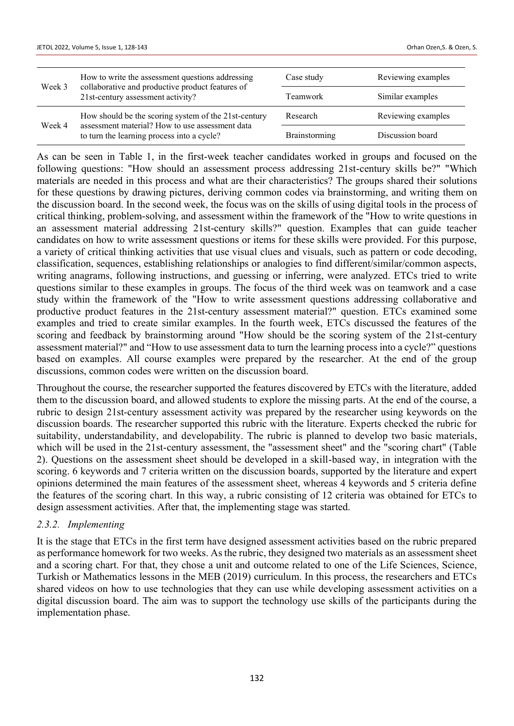| Week 3 | How to write the assessment questions addressing<br>collaborative and productive product features of    | Case study      | Reviewing examples |
|--------|---------------------------------------------------------------------------------------------------------|-----------------|--------------------|
|        | 21st-century assessment activity?                                                                       | <b>Teamwork</b> | Similar examples   |
|        | How should be the scoring system of the 21st-century<br>assessment material? How to use assessment data | Research        | Reviewing examples |
| Week 4 | to turn the learning process into a cycle?                                                              | Brainstorming   | Discussion board   |

As can be seen in Table 1, in the first-week teacher candidates worked in groups and focused on the following questions: "How should an assessment process addressing 21st-century skills be?" "Which materials are needed in this process and what are their characteristics? The groups shared their solutions for these questions by drawing pictures, deriving common codes via brainstorming, and writing them on the discussion board. In the second week, the focus was on the skills of using digital tools in the process of critical thinking, problem-solving, and assessment within the framework of the "How to write questions in an assessment material addressing 21st-century skills?" question. Examples that can guide teacher candidates on how to write assessment questions or items for these skills were provided. For this purpose, a variety of critical thinking activities that use visual clues and visuals, such as pattern or code decoding, classification, sequences, establishing relationships or analogies to find different/similar/common aspects, writing anagrams, following instructions, and guessing or inferring, were analyzed. ETCs tried to write questions similar to these examples in groups. The focus of the third week was on teamwork and a case study within the framework of the "How to write assessment questions addressing collaborative and productive product features in the 21st-century assessment material?" question. ETCs examined some examples and tried to create similar examples. In the fourth week, ETCs discussed the features of the scoring and feedback by brainstorming around "How should be the scoring system of the 21st-century assessment material?" and "How to use assessment data to turn the learning process into a cycle?" questions based on examples. All course examples were prepared by the researcher. At the end of the group discussions, common codes were written on the discussion board.

Throughout the course, the researcher supported the features discovered by ETCs with the literature, added them to the discussion board, and allowed students to explore the missing parts. At the end of the course, a rubric to design 21st-century assessment activity was prepared by the researcher using keywords on the discussion boards. The researcher supported this rubric with the literature. Experts checked the rubric for suitability, understandability, and developability. The rubric is planned to develop two basic materials, which will be used in the 21st-century assessment, the "assessment sheet" and the "scoring chart" (Table 2). Questions on the assessment sheet should be developed in a skill-based way, in integration with the scoring. 6 keywords and 7 criteria written on the discussion boards, supported by the literature and expert opinions determined the main features of the assessment sheet, whereas 4 keywords and 5 criteria define the features of the scoring chart. In this way, a rubric consisting of 12 criteria was obtained for ETCs to design assessment activities. After that, the implementing stage was started.

### *2.3.2. Implementing*

It is the stage that ETCs in the first term have designed assessment activities based on the rubric prepared as performance homework for two weeks. As the rubric, they designed two materials as an assessment sheet and a scoring chart. For that, they chose a unit and outcome related to one of the Life Sciences, Science, Turkish or Mathematics lessons in the MEB (2019) curriculum. In this process, the researchers and ETCs shared videos on how to use technologies that they can use while developing assessment activities on a digital discussion board. The aim was to support the technology use skills of the participants during the implementation phase.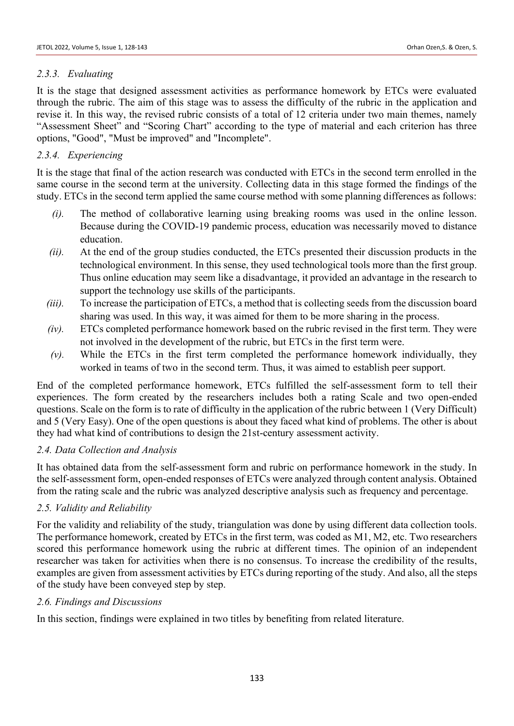### *2.3.3. Evaluating*

It is the stage that designed assessment activities as performance homework by ETCs were evaluated through the rubric. The aim of this stage was to assess the difficulty of the rubric in the application and revise it. In this way, the revised rubric consists of a total of 12 criteria under two main themes, namely "Assessment Sheet" and "Scoring Chart" according to the type of material and each criterion has three options, "Good", "Must be improved" and "Incomplete".

# *2.3.4. Experiencing*

It is the stage that final of the action research was conducted with ETCs in the second term enrolled in the same course in the second term at the university. Collecting data in this stage formed the findings of the study. ETCs in the second term applied the same course method with some planning differences as follows:

- *(i).* The method of collaborative learning using breaking rooms was used in the online lesson. Because during the COVID-19 pandemic process, education was necessarily moved to distance education.
- *(ii).* At the end of the group studies conducted, the ETCs presented their discussion products in the technological environment. In this sense, they used technological tools more than the first group. Thus online education may seem like a disadvantage, it provided an advantage in the research to support the technology use skills of the participants.
- *(iii).* To increase the participation of ETCs, a method that is collecting seeds from the discussion board sharing was used. In this way, it was aimed for them to be more sharing in the process.
- *(iv).* ETCs completed performance homework based on the rubric revised in the first term. They were not involved in the development of the rubric, but ETCs in the first term were.
- *(v).* While the ETCs in the first term completed the performance homework individually, they worked in teams of two in the second term. Thus, it was aimed to establish peer support.

End of the completed performance homework, ETCs fulfilled the self-assessment form to tell their experiences. The form created by the researchers includes both a rating Scale and two open-ended questions. Scale on the form is to rate of difficulty in the application of the rubric between 1 (Very Difficult) and 5 (Very Easy). One of the open questions is about they faced what kind of problems. The other is about they had what kind of contributions to design the 21st-century assessment activity.

### *2.4. Data Collection and Analysis*

It has obtained data from the self-assessment form and rubric on performance homework in the study. In the self-assessment form, open-ended responses of ETCs were analyzed through content analysis. Obtained from the rating scale and the rubric was analyzed descriptive analysis such as frequency and percentage.

# *2.5. Validity and Reliability*

For the validity and reliability of the study, triangulation was done by using different data collection tools. The performance homework, created by ETCs in the first term, was coded as M1, M2, etc. Two researchers scored this performance homework using the rubric at different times. The opinion of an independent researcher was taken for activities when there is no consensus. To increase the credibility of the results, examples are given from assessment activities by ETCs during reporting of the study. And also, all the steps of the study have been conveyed step by step.

### *2.6. Findings and Discussions*

In this section, findings were explained in two titles by benefiting from related literature.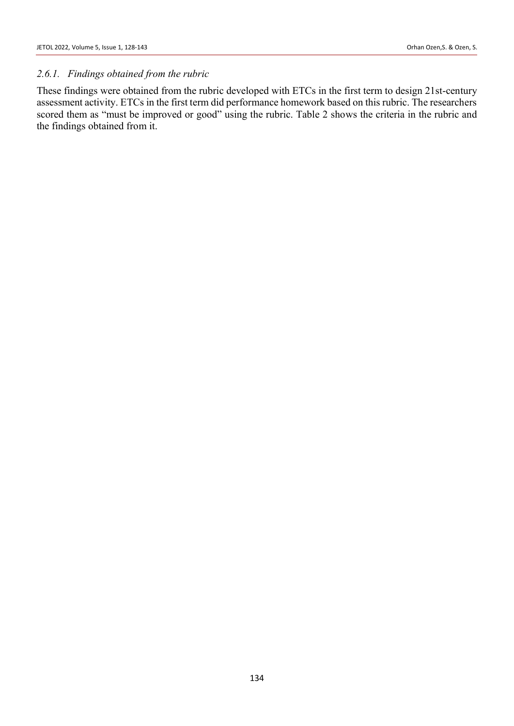### *2.6.1. Findings obtained from the rubric*

These findings were obtained from the rubric developed with ETCs in the first term to design 21st-century assessment activity. ETCs in the first term did performance homework based on this rubric. The researchers scored them as "must be improved or good" using the rubric. Table 2 shows the criteria in the rubric and the findings obtained from it.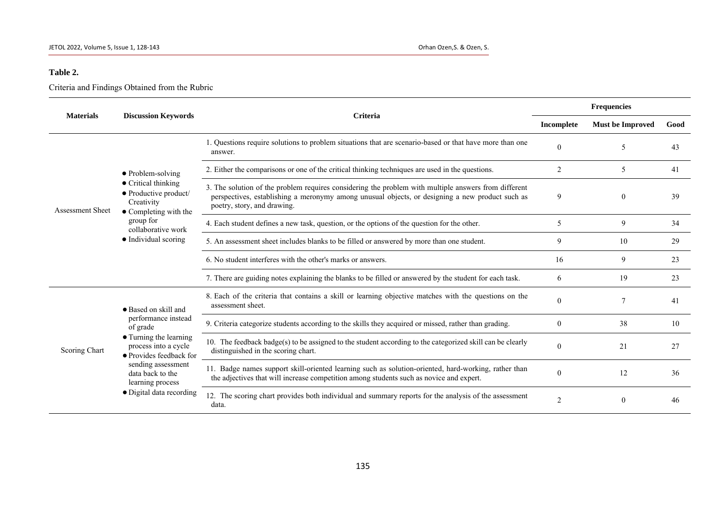### **Table 2.**

Criteria and Findings Obtained from the Rubric

| <b>Materials</b>        | <b>Discussion Keywords</b>                                                                                                                                                                                                     | Criteria                                                                                                                                                                                                                               |              | <b>Frequencies</b>      |      |  |
|-------------------------|--------------------------------------------------------------------------------------------------------------------------------------------------------------------------------------------------------------------------------|----------------------------------------------------------------------------------------------------------------------------------------------------------------------------------------------------------------------------------------|--------------|-------------------------|------|--|
|                         |                                                                                                                                                                                                                                |                                                                                                                                                                                                                                        |              | <b>Must be Improved</b> | Good |  |
| <b>Assessment Sheet</b> | $\bullet$ Problem-solving<br>$\bullet$ Critical thinking<br>• Productive product/<br>Creativity<br>$\bullet$ Completing with the<br>group for<br>collaborative work<br>• Individual scoring                                    | 1. Questions require solutions to problem situations that are scenario-based or that have more than one<br>answer.                                                                                                                     | $\Omega$     | 5                       | 43   |  |
|                         |                                                                                                                                                                                                                                | 2. Either the comparisons or one of the critical thinking techniques are used in the questions.                                                                                                                                        | 2            | 5                       | 41   |  |
|                         |                                                                                                                                                                                                                                | 3. The solution of the problem requires considering the problem with multiple answers from different<br>perspectives, establishing a meronymy among unusual objects, or designing a new product such as<br>poetry, story, and drawing. | 9            | $\overline{0}$          | 39   |  |
|                         |                                                                                                                                                                                                                                | 4. Each student defines a new task, question, or the options of the question for the other.                                                                                                                                            | 5            | 9                       | 34   |  |
|                         |                                                                                                                                                                                                                                | 5. An assessment sheet includes blanks to be filled or answered by more than one student.                                                                                                                                              | 9            | 10                      | 29   |  |
|                         |                                                                                                                                                                                                                                | 6. No student interferes with the other's marks or answers.                                                                                                                                                                            | 16           | 9                       | 23   |  |
|                         |                                                                                                                                                                                                                                | 7. There are guiding notes explaining the blanks to be filled or answered by the student for each task.                                                                                                                                | 6            | 19                      | 23   |  |
| Scoring Chart           | • Based on skill and<br>performance instead<br>of grade<br>• Turning the learning<br>process into a cycle<br>• Provides feedback for<br>sending assessment<br>data back to the<br>learning process<br>· Digital data recording | 8. Each of the criteria that contains a skill or learning objective matches with the questions on the<br>assessment sheet.                                                                                                             | $\mathbf{0}$ |                         | 41   |  |
|                         |                                                                                                                                                                                                                                | 9. Criteria categorize students according to the skills they acquired or missed, rather than grading.                                                                                                                                  | $\mathbf{0}$ | 38                      | 10   |  |
|                         |                                                                                                                                                                                                                                | 10. The feedback badge(s) to be assigned to the student according to the categorized skill can be clearly<br>distinguished in the scoring chart.                                                                                       | $\Omega$     | 21                      | 27   |  |
|                         |                                                                                                                                                                                                                                | 11. Badge names support skill-oriented learning such as solution-oriented, hard-working, rather than<br>the adjectives that will increase competition among students such as novice and expert.                                        | $\Omega$     | 12                      | 36   |  |
|                         |                                                                                                                                                                                                                                | 12. The scoring chart provides both individual and summary reports for the analysis of the assessment<br>data.                                                                                                                         | 2            | $\overline{0}$          | 46   |  |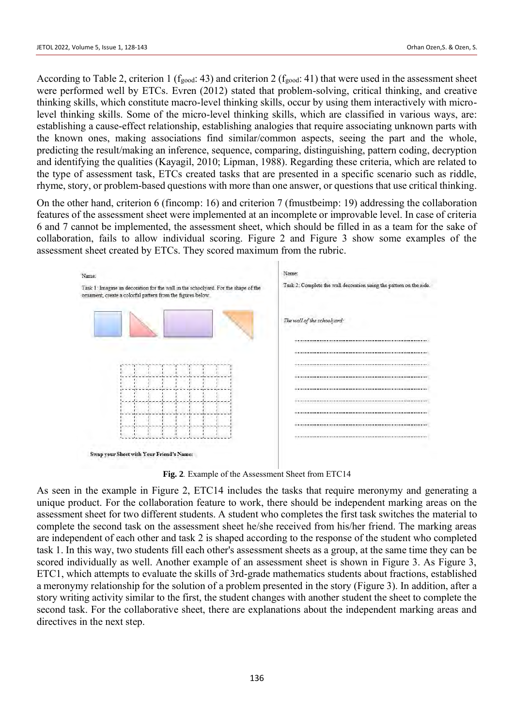According to Table 2, criterion 1 ( $f_{good}$ : 43) and criterion 2 ( $f_{good}$ : 41) that were used in the assessment sheet were performed well by ETCs. Evren (2012) stated that problem-solving, critical thinking, and creative thinking skills, which constitute macro-level thinking skills, occur by using them interactively with microlevel thinking skills. Some of the micro-level thinking skills, which are classified in various ways, are: establishing a cause-effect relationship, establishing analogies that require associating unknown parts with the known ones, making associations find similar/common aspects, seeing the part and the whole, predicting the result/making an inference, sequence, comparing, distinguishing, pattern coding, decryption and identifying the qualities (Kayagil, 2010; Lipman, 1988). Regarding these criteria, which are related to the type of assessment task, ETCs created tasks that are presented in a specific scenario such as riddle, rhyme, story, or problem-based questions with more than one answer, or questions that use critical thinking.

On the other hand, criterion 6 (fincomp: 16) and criterion 7 (fmustbeimp: 19) addressing the collaboration features of the assessment sheet were implemented at an incomplete or improvable level. In case of criteria 6 and 7 cannot be implemented, the assessment sheet, which should be filled in as a team for the sake of collaboration, fails to allow individual scoring. Figure 2 and Figure 3 show some examples of the assessment sheet created by ETCs. They scored maximum from the rubric.



**Fig. 2***.* Example of the Assessment Sheet from ETC14

As seen in the example in Figure 2, ETC14 includes the tasks that require meronymy and generating a unique product. For the collaboration feature to work, there should be independent marking areas on the assessment sheet for two different students. A student who completes the first task switches the material to complete the second task on the assessment sheet he/she received from his/her friend. The marking areas are independent of each other and task 2 is shaped according to the response of the student who completed task 1. In this way, two students fill each other's assessment sheets as a group, at the same time they can be scored individually as well. Another example of an assessment sheet is shown in Figure 3. As Figure 3, ETC1, which attempts to evaluate the skills of 3rd-grade mathematics students about fractions, established a meronymy relationship for the solution of a problem presented in the story (Figure 3). In addition, after a story writing activity similar to the first, the student changes with another student the sheet to complete the second task. For the collaborative sheet, there are explanations about the independent marking areas and directives in the next step.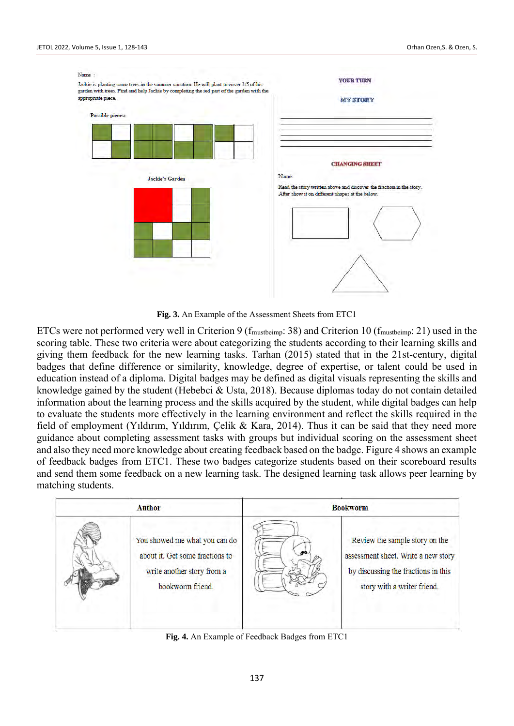

**Fig. 3.** An Example of the Assessment Sheets from ETC1

ETCs were not performed very well in Criterion 9 (fmustbeimp: 38) and Criterion 10 (fmustbeimp: 21) used in the scoring table. These two criteria were about categorizing the students according to their learning skills and giving them feedback for the new learning tasks. Tarhan (2015) stated that in the 21st-century, digital badges that define difference or similarity, knowledge, degree of expertise, or talent could be used in education instead of a diploma. Digital badges may be defined as digital visuals representing the skills and knowledge gained by the student (Hebebci & Usta, 2018). Because diplomas today do not contain detailed information about the learning process and the skills acquired by the student, while digital badges can help to evaluate the students more effectively in the learning environment and reflect the skills required in the field of employment (Yıldırım, Yıldırım, Çelik & Kara, 2014). Thus it can be said that they need more guidance about completing assessment tasks with groups but individual scoring on the assessment sheet and also they need more knowledge about creating feedback based on the badge. Figure 4 shows an example of feedback badges from ETC1. These two badges categorize students based on their scoreboard results and send them some feedback on a new learning task. The designed learning task allows peer learning by matching students.

| <b>Author</b> |                                                                                                                    | <b>Bookworm</b> |                                                                                                                                             |
|---------------|--------------------------------------------------------------------------------------------------------------------|-----------------|---------------------------------------------------------------------------------------------------------------------------------------------|
|               | You showed me what you can do<br>about it. Get some fractions to<br>write another story from a<br>bookworm friend. |                 | Review the sample story on the<br>assessment sheet. Write a new story<br>by discussing the fractions in this<br>story with a writer friend. |

**Fig. 4.** An Example of Feedback Badges from ETC1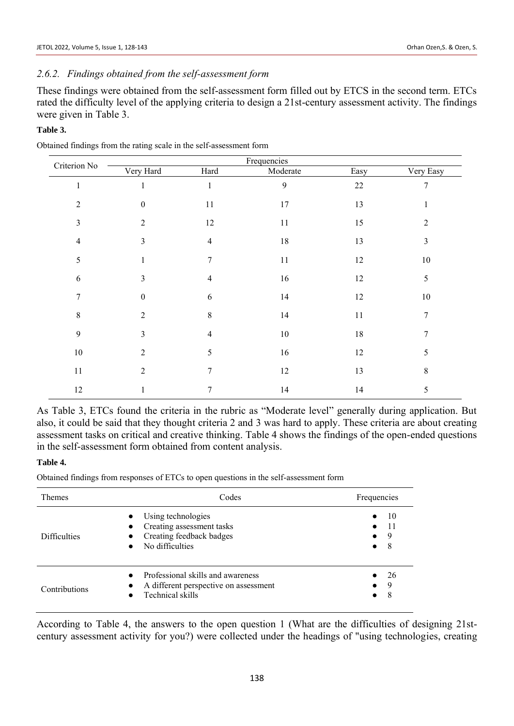#### JETOL 2022, Volume 5, Issue 1, 128-143 Orhan Ozen,S. & Ozen, S.

# *2.6.2. Findings obtained from the self-assessment form*

These findings were obtained from the self-assessment form filled out by ETCS in the second term. ETCs rated the difficulty level of the applying criteria to design a 21st-century assessment activity. The findings were given in Table 3.

### **Table 3.**

| Criterion No   |                  |                |          |        |                |
|----------------|------------------|----------------|----------|--------|----------------|
|                | Very Hard        | Hard           | Moderate | Easy   | Very Easy      |
| $\mathbf{1}$   | 1                | $\mathbf{1}$   | 9        | $22\,$ | $\overline{7}$ |
| $\overline{2}$ | $\boldsymbol{0}$ | 11             | 17       | 13     |                |
| $\mathfrak{Z}$ | $\overline{2}$   | 12             | 11       | 15     | $\overline{2}$ |
| $\overline{4}$ | 3                | $\overline{4}$ | $18\,$   | 13     | 3              |
| 5              | $\mathbf{1}$     | 7              | 11       | 12     | $10\,$         |
| $\sqrt{6}$     | 3                | $\overline{4}$ | $16\,$   | 12     | $\sqrt{5}$     |
| 7              | $\boldsymbol{0}$ | 6              | 14       | 12     | $10\,$         |
| 8              | $\overline{2}$   | $\,8\,$        | 14       | 11     | $\overline{7}$ |
| 9              | 3                | $\overline{4}$ | $10\,$   | $18\,$ | $\overline{7}$ |
| $10\,$         | $\overline{2}$   | 5              | $16\,$   | 12     | 5              |
| $11\,$         | $\overline{2}$   | $\overline{7}$ | 12       | 13     | 8              |
| 12             |                  | 7              | 14       | 14     | 5              |

Obtained findings from the rating scale in the self-assessment form

As Table 3, ETCs found the criteria in the rubric as "Moderate level" generally during application. But also, it could be said that they thought criteria 2 and 3 was hard to apply. These criteria are about creating assessment tasks on critical and creative thinking. Table 4 shows the findings of the open-ended questions in the self-assessment form obtained from content analysis.

#### **Table 4.**

Obtained findings from responses of ETCs to open questions in the self-assessment form

| <b>Themes</b>       | Codes                                                                                                                                              | Frequencies                                   |
|---------------------|----------------------------------------------------------------------------------------------------------------------------------------------------|-----------------------------------------------|
| <b>Difficulties</b> | Using technologies<br>$\bullet$<br>Creating assessment tasks<br>$\bullet$<br>Creating feedback badges<br>$\bullet$<br>No difficulties<br>$\bullet$ | 10<br>-11<br>9<br>$\bullet$<br>8<br>$\bullet$ |
| Contributions       | Professional skills and awareness<br>$\bullet$<br>A different perspective on assessment<br>$\bullet$<br>Technical skills<br>$\bullet$              | 26<br>9<br>$\bullet$<br>8<br>$\bullet$        |

According to Table 4, the answers to the open question 1 (What are the difficulties of designing 21stcentury assessment activity for you?) were collected under the headings of "using technologies, creating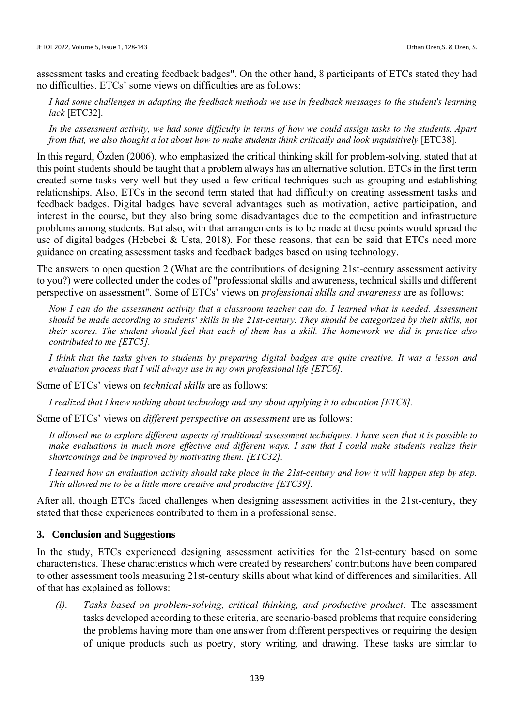assessment tasks and creating feedback badges". On the other hand, 8 participants of ETCs stated they had no difficulties. ETCs' some views on difficulties are as follows:

*I had some challenges in adapting the feedback methods we use in feedback messages to the student's learning lack* [ETC32].

*In the assessment activity, we had some difficulty in terms of how we could assign tasks to the students. Apart from that, we also thought a lot about how to make students think critically and look inquisitively* [ETC38].

In this regard, Özden (2006), who emphasized the critical thinking skill for problem-solving, stated that at this point students should be taught that a problem always has an alternative solution. ETCs in the first term created some tasks very well but they used a few critical techniques such as grouping and establishing relationships. Also, ETCs in the second term stated that had difficulty on creating assessment tasks and feedback badges. Digital badges have several advantages such as motivation, active participation, and interest in the course, but they also bring some disadvantages due to the competition and infrastructure problems among students. But also, with that arrangements is to be made at these points would spread the use of digital badges (Hebebci & Usta, 2018). For these reasons, that can be said that ETCs need more guidance on creating assessment tasks and feedback badges based on using technology.

The answers to open question 2 (What are the contributions of designing 21st-century assessment activity to you?) were collected under the codes of "professional skills and awareness, technical skills and different perspective on assessment". Some of ETCs' views on *professional skills and awareness* are as follows:

*Now I can do the assessment activity that a classroom teacher can do. I learned what is needed. Assessment should be made according to students' skills in the 21st-century. They should be categorized by their skills, not their scores. The student should feel that each of them has a skill. The homework we did in practice also contributed to me [ETC5].*

*I think that the tasks given to students by preparing digital badges are quite creative. It was a lesson and evaluation process that I will always use in my own professional life [ETC6].*

Some of ETCs' views on *technical skills* are as follows:

*I realized that I knew nothing about technology and any about applying it to education [ETC8].*

Some of ETCs' views on *different perspective on assessment* are as follows:

*It allowed me to explore different aspects of traditional assessment techniques. I have seen that it is possible to make evaluations in much more effective and different ways. I saw that I could make students realize their shortcomings and be improved by motivating them. [ETC32].*

*I learned how an evaluation activity should take place in the 21st-century and how it will happen step by step. This allowed me to be a little more creative and productive [ETC39].*

After all, though ETCs faced challenges when designing assessment activities in the 21st-century, they stated that these experiences contributed to them in a professional sense.

### **3. Conclusion and Suggestions**

In the study, ETCs experienced designing assessment activities for the 21st-century based on some characteristics. These characteristics which were created by researchers' contributions have been compared to other assessment tools measuring 21st-century skills about what kind of differences and similarities. All of that has explained as follows:

*(i). Tasks based on problem-solving, critical thinking, and productive product:* The assessment tasks developed according to these criteria, are scenario-based problems that require considering the problems having more than one answer from different perspectives or requiring the design of unique products such as poetry, story writing, and drawing. These tasks are similar to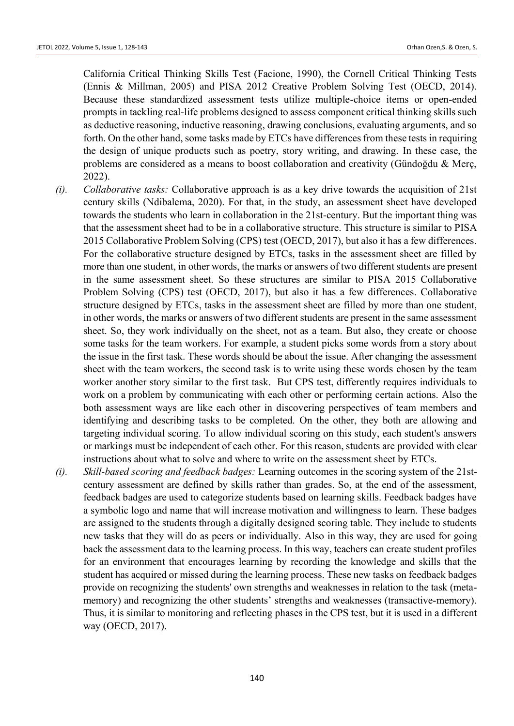California Critical Thinking Skills Test (Facione, 1990), the Cornell Critical Thinking Tests (Ennis & Millman, 2005) and PISA 2012 Creative Problem Solving Test (OECD, 2014). Because these standardized assessment tests utilize multiple-choice items or open-ended prompts in tackling real-life problems designed to assess component critical thinking skills such as deductive reasoning, inductive reasoning, drawing conclusions, evaluating arguments, and so forth. On the other hand, some tasks made by ETCs have differences from these tests in requiring the design of unique products such as poetry, story writing, and drawing. In these case, the problems are considered as a means to boost collaboration and creativity (Gündoğdu & Merç, 2022).

- *(i). Collaborative tasks:* Collaborative approach is as a key drive towards the acquisition of 21st century skills (Ndibalema, 2020). For that, in the study, an assessment sheet have developed towards the students who learn in collaboration in the 21st-century. But the important thing was that the assessment sheet had to be in a collaborative structure. This structure is similar to PISA 2015 Collaborative Problem Solving (CPS) test (OECD, 2017), but also it has a few differences. For the collaborative structure designed by ETCs, tasks in the assessment sheet are filled by more than one student, in other words, the marks or answers of two different students are present in the same assessment sheet. So these structures are similar to PISA 2015 Collaborative Problem Solving (CPS) test (OECD, 2017), but also it has a few differences. Collaborative structure designed by ETCs, tasks in the assessment sheet are filled by more than one student, in other words, the marks or answers of two different students are present in the same assessment sheet. So, they work individually on the sheet, not as a team. But also, they create or choose some tasks for the team workers. For example, a student picks some words from a story about the issue in the first task. These words should be about the issue. After changing the assessment sheet with the team workers, the second task is to write using these words chosen by the team worker another story similar to the first task. But CPS test, differently requires individuals to work on a problem by communicating with each other or performing certain actions. Also the both assessment ways are like each other in discovering perspectives of team members and identifying and describing tasks to be completed. On the other, they both are allowing and targeting individual scoring. To allow individual scoring on this study, each student's answers or markings must be independent of each other. For this reason, students are provided with clear instructions about what to solve and where to write on the assessment sheet by ETCs.
- *(i). Skill-based scoring and feedback badges:* Learning outcomes in the scoring system of the 21stcentury assessment are defined by skills rather than grades. So, at the end of the assessment, feedback badges are used to categorize students based on learning skills. Feedback badges have a symbolic logo and name that will increase motivation and willingness to learn. These badges are assigned to the students through a digitally designed scoring table. They include to students new tasks that they will do as peers or individually. Also in this way, they are used for going back the assessment data to the learning process. In this way, teachers can create student profiles for an environment that encourages learning by recording the knowledge and skills that the student has acquired or missed during the learning process. These new tasks on feedback badges provide on recognizing the students' own strengths and weaknesses in relation to the task (metamemory) and recognizing the other students' strengths and weaknesses (transactive-memory). Thus, it is similar to monitoring and reflecting phases in the CPS test, but it is used in a different way (OECD, 2017).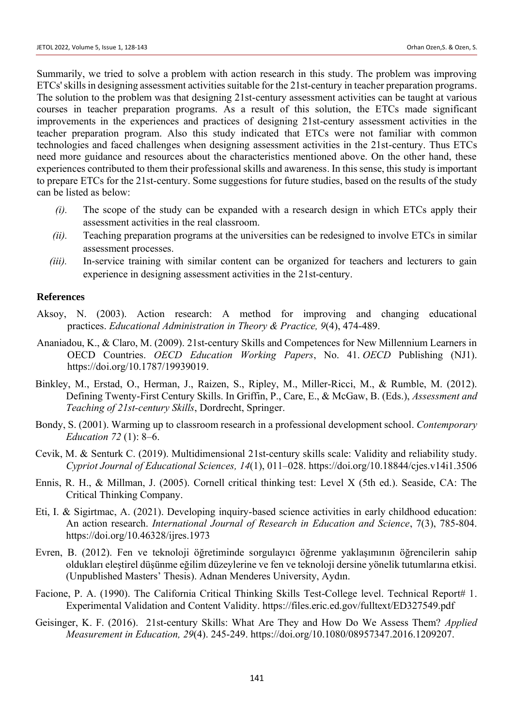Summarily, we tried to solve a problem with action research in this study. The problem was improving ETCs' skills in designing assessment activities suitable for the 21st-century in teacher preparation programs. The solution to the problem was that designing 21st-century assessment activities can be taught at various courses in teacher preparation programs. As a result of this solution, the ETCs made significant improvements in the experiences and practices of designing 21st-century assessment activities in the teacher preparation program. Also this study indicated that ETCs were not familiar with common technologies and faced challenges when designing assessment activities in the 21st-century. Thus ETCs need more guidance and resources about the characteristics mentioned above. On the other hand, these experiences contributed to them their professional skills and awareness. In this sense, this study is important to prepare ETCs for the 21st-century. Some suggestions for future studies, based on the results of the study can be listed as below:

- *(i).* The scope of the study can be expanded with a research design in which ETCs apply their assessment activities in the real classroom.
- *(ii).* Teaching preparation programs at the universities can be redesigned to involve ETCs in similar assessment processes.
- *(iii).* In-service training with similar content can be organized for teachers and lecturers to gain experience in designing assessment activities in the 21st-century.

#### **References**

- Aksoy, N. (2003). Action research: A method for improving and changing educational practices. *Educational Administration in Theory & Practice, 9*(4), 474-489.
- Ananiadou, K., & Claro, M. (2009). 21st-century Skills and Competences for New Millennium Learners in OECD Countries. *OECD Education Working Papers*, No. 41. *OECD* Publishing (NJ1). [https://doi.org/10.1787/19939019.](https://doi.org/10.1787/19939019)
- Binkley, M., Erstad, O., Herman, J., Raizen, S., Ripley, M., Miller-Ricci, M., & Rumble, M. (2012). Defining Twenty-First Century Skills. In Griffin, P., Care, E., & McGaw, B. (Eds.), *Assessment and Teaching of 21st-century Skills*, Dordrecht, Springer.
- Bondy, S. (2001). Warming up to classroom research in a professional development school. *Contemporary Education 72* (1): 8–6.
- Cevik, M. & Senturk C. (2019). Multidimensional 21st-century skills scale: Validity and reliability study. *Cypriot Journal of Educational Sciences, 14*(1), 011–028. https://doi.org[/10.18844/cjes.v14i1.3506](http://dx.doi.org/10.18844/cjes.v14i1.3506)
- Ennis, R. H., & Millman, J. (2005). Cornell critical thinking test: Level X (5th ed.). Seaside, CA: The Critical Thinking Company.
- Eti, I. & Sigirtmac, A. (2021). Developing inquiry-based science activities in early childhood education: An action research. *International Journal of Research in Education and Science*, 7(3), 785-804. <https://doi.org/10.46328/ijres.1973>
- Evren, B. (2012). Fen ve teknoloji öğretiminde sorgulayıcı öğrenme yaklaşımının öğrencilerin sahip oldukları eleştirel düşünme eğilim düzeylerine ve fen ve teknoloji dersine yönelik tutumlarına etkisi. (Unpublished Masters' Thesis). Adnan Menderes University, Aydın.
- Facione, P. A. (1990). The California Critical Thinking Skills Test-College level. Technical Report# 1. Experimental Validation and Content Validity. https://files.eric.ed.gov/fulltext/ED327549.pdf
- Geisinger, K. F. (2016). 21st-century Skills: What Are They and How Do We Assess Them? *Applied Measurement in Education, 29*(4). 245-249. [https://doi.org/10.1080/08957347.2016.1209207.](https://doi.org/10.1080/08957347.2016.1209207)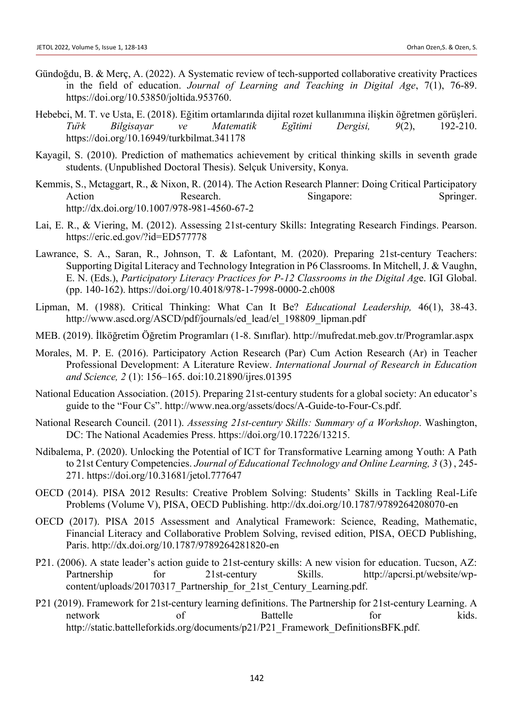- Gündoğdu, B. & Merç, A. (2022). A Systematic review of tech-supported collaborative creativity Practices in the field of education. *Journal of Learning and Teaching in Digital Age*, 7(1), 76-89. https://doi.org/10.53850/joltida.953760.
- Hebebci, M. T. ve Usta, E. (2018). Eğitim ortamlarında dijital rozet kullanımına ilişkin öğretmen görüşleri. *Türk Bilgisayar ve Matematik Eğitimi Dergisi, 9*(2), 192-210. https://doi.org/10.16949/turkbilmat.341178
- Kayagil, S. (2010). Prediction of mathematics achievement by critical thinking skills in seventh grade students. (Unpublished Doctoral Thesis). Selçuk University, Konya.
- Kemmis, S., Mctaggart, R., & Nixon, R. (2014). The Action Research Planner: Doing Critical Participatory Action Research. Singapore: Springer. <http://dx.doi.org/10.1007/978-981-4560-67-2>
- Lai, E. R., & Viering, M. (2012). Assessing 21st-century Skills: Integrating Research Findings. Pearson. https://eric.ed.gov/?id=ED577778
- Lawrance, S. A., Saran, R., Johnson, T. & Lafontant, M. (2020). Preparing 21st-century Teachers: Supporting Digital Literacy and Technology Integration in P6 Classrooms. In Mitchell, J. & Vaughn, E. N. (Eds.), *[Participatory Literacy Practices for P-12 Classrooms in the Digital Ag](https://www.igi-global.com/book/participatory-literacy-practices-classrooms-digital/225762)*[e.](https://www.igi-global.com/book/participatory-literacy-practices-classrooms-digital/225762) IGI Global. (pp. 140-162). https://doi.org/10.4018/978-1-7998-0000-2.ch008
- Lipman, M. (1988). Critical Thinking: What Can It Be? *Educational Leadership,* 46(1), 38-43. http://www.ascd.org/ASCD/pdf/journals/ed\_lead/el\_198809\_lipman.pdf
- MEB. (2019). İlköğretim Öğretim Programları (1-8. Sınıflar). http://mufredat.meb.gov.tr/Programlar.aspx
- Morales, M. P. E. (2016). Participatory Action Research (Par) Cum Action Research (Ar) in Teacher Professional Development: A Literature Review. *International Journal of Research in Education and Science, 2* (1): 156–165. doi:10.21890/ijres.01395
- National Education Association. (2015). Preparing 21st-century students for a global society: An educator's guide to the "Four Cs". http://www.nea.org/assets/docs/A-Guide-to-Four-Cs.pdf.
- National Research Council. (2011). *Assessing 21st-century Skills: Summary of a Workshop*. Washington, DC: The National Academies Press. https://doi.org/10.17226/13215.
- Ndibalema, P. (2020). Unlocking the Potential of ICT for Transformative Learning among Youth: A Path to 21st Century Competencies. *Journal of Educational Technology and Online Learning, 3* (3) , 245- 271. https://doi.org/10.31681/jetol.777647
- OECD (2014). PISA 2012 Results: Creative Problem Solving: Students' Skills in Tackling Real-Life Problems (Volume V), PISA, OECD Publishing. http://dx.doi.org/10.1787/9789264208070-en
- OECD (2017). PISA 2015 Assessment and Analytical Framework: Science, Reading, Mathematic, Financial Literacy and Collaborative Problem Solving, revised edition, PISA, OECD Publishing, Paris. http://dx.doi.org/10.1787/9789264281820-en
- P21. (2006). A state leader's action guide to 21st-century skills: A new vision for education. Tucson, AZ: Partnership for 21st-century Skills. http://apcrsi.pt/website/wpcontent/uploads/20170317\_Partnership\_for\_21st\_Century\_Learning.pdf.
- P21 (2019). Framework for 21st-century learning definitions. The Partnership for 21st-century Learning. A network of Battelle for kids. http://static.battelleforkids.org/documents/p21/P21\_Framework\_DefinitionsBFK.pdf.